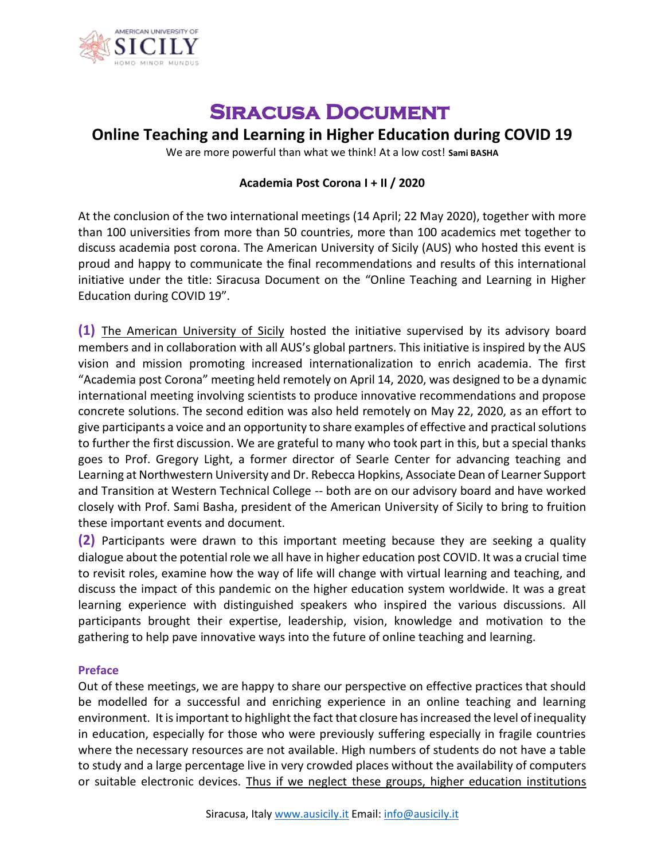

## **Siracusa Document**

## **Online Teaching and Learning in Higher Education during COVID 19**

We are more powerful than what we think! At a low cost! **Sami BASHA**

## **Academia Post Corona I + II / 2020**

At the conclusion of the two international meetings (14 April; 22 May 2020), together with more than 100 universities from more than 50 countries, more than 100 academics met together to discuss academia post corona. The American University of Sicily (AUS) who hosted this event is proud and happy to communicate the final recommendations and results of this international initiative under the title: Siracusa Document on the "Online Teaching and Learning in Higher Education during COVID 19".

**(1)** The American University of Sicily hosted the initiative supervised by its advisory board members and in collaboration with all AUS's global partners. This initiative is inspired by the AUS vision and mission promoting increased internationalization to enrich academia. The first "Academia post Corona" meeting held remotely on April 14, 2020, was designed to be a dynamic international meeting involving scientists to produce innovative recommendations and propose concrete solutions. The second edition was also held remotely on May 22, 2020, as an effort to give participants a voice and an opportunity to share examples of effective and practical solutions to further the first discussion. We are grateful to many who took part in this, but a special thanks goes to Prof. Gregory Light, a former director of Searle Center for advancing teaching and Learning at Northwestern University and Dr. Rebecca Hopkins, Associate Dean of Learner Support and Transition at Western Technical College -- both are on our advisory board and have worked closely with Prof. Sami Basha, president of the American University of Sicily to bring to fruition these important events and document.

**(2)** Participants were drawn to this important meeting because they are seeking a quality dialogue about the potential role we all have in higher education post COVID. It was a crucial time to revisit roles, examine how the way of life will change with virtual learning and teaching, and discuss the impact of this pandemic on the higher education system worldwide. It was a great learning experience with distinguished speakers who inspired the various discussions. All participants brought their expertise, leadership, vision, knowledge and motivation to the gathering to help pave innovative ways into the future of online teaching and learning.

## **Preface**

Out of these meetings, we are happy to share our perspective on effective practices that should be modelled for a successful and enriching experience in an online teaching and learning environment. It is important to highlight the fact that closure has increased the level of inequality in education, especially for those who were previously suffering especially in fragile countries where the necessary resources are not available. High numbers of students do not have a table to study and a large percentage live in very crowded places without the availability of computers or suitable electronic devices. Thus if we neglect these groups, higher education institutions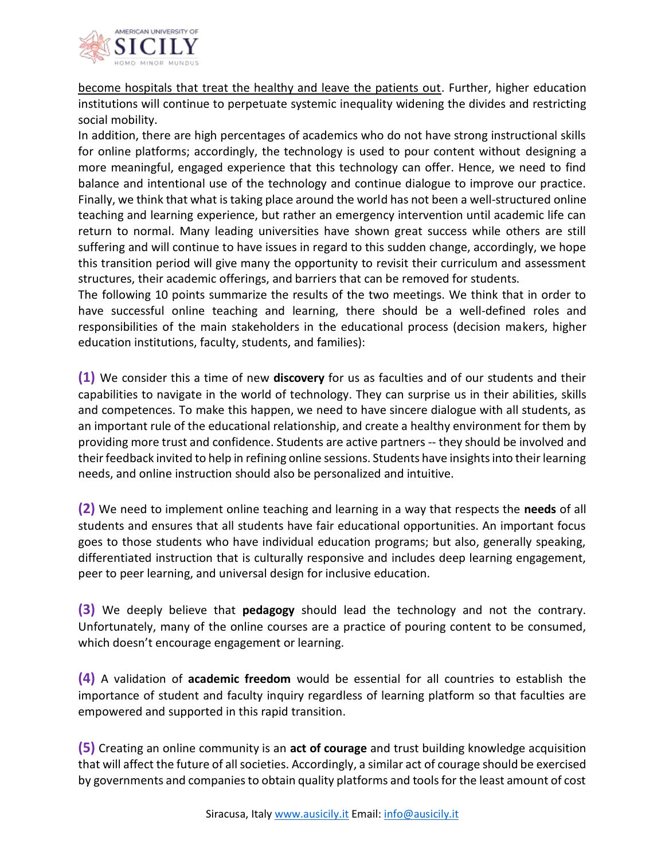

become hospitals that treat the healthy and leave the patients out. Further, higher education institutions will continue to perpetuate systemic inequality widening the divides and restricting social mobility.

In addition, there are high percentages of academics who do not have strong instructional skills for online platforms; accordingly, the technology is used to pour content without designing a more meaningful, engaged experience that this technology can offer. Hence, we need to find balance and intentional use of the technology and continue dialogue to improve our practice. Finally, we think that what is taking place around the world has not been a well-structured online teaching and learning experience, but rather an emergency intervention until academic life can return to normal. Many leading universities have shown great success while others are still suffering and will continue to have issues in regard to this sudden change, accordingly, we hope this transition period will give many the opportunity to revisit their curriculum and assessment structures, their academic offerings, and barriers that can be removed for students.

The following 10 points summarize the results of the two meetings. We think that in order to have successful online teaching and learning, there should be a well-defined roles and responsibilities of the main stakeholders in the educational process (decision makers, higher education institutions, faculty, students, and families):

**(1)** We consider this a time of new **discovery** for us as faculties and of our students and their capabilities to navigate in the world of technology. They can surprise us in their abilities, skills and competences. To make this happen, we need to have sincere dialogue with all students, as an important rule of the educational relationship, and create a healthy environment for them by providing more trust and confidence. Students are active partners -- they should be involved and their feedback invited to help in refining online sessions. Students have insights into their learning needs, and online instruction should also be personalized and intuitive.

**(2)** We need to implement online teaching and learning in a way that respects the **needs** of all students and ensures that all students have fair educational opportunities. An important focus goes to those students who have individual education programs; but also, generally speaking, differentiated instruction that is culturally responsive and includes deep learning engagement, peer to peer learning, and universal design for inclusive education.

**(3)** We deeply believe that **pedagogy** should lead the technology and not the contrary. Unfortunately, many of the online courses are a practice of pouring content to be consumed, which doesn't encourage engagement or learning.

**(4)** A validation of **academic freedom** would be essential for all countries to establish the importance of student and faculty inquiry regardless of learning platform so that faculties are empowered and supported in this rapid transition.

**(5)** Creating an online community is an **act of courage** and trust building knowledge acquisition that will affect the future of all societies. Accordingly, a similar act of courage should be exercised by governments and companies to obtain quality platforms and tools for the least amount of cost